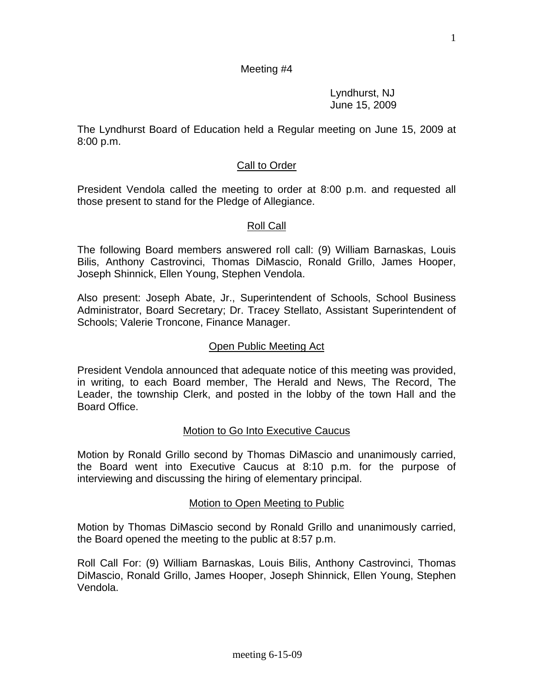#### Meeting #4

 Lyndhurst, NJ June 15, 2009

The Lyndhurst Board of Education held a Regular meeting on June 15, 2009 at 8:00 p.m.

#### Call to Order

President Vendola called the meeting to order at 8:00 p.m. and requested all those present to stand for the Pledge of Allegiance.

#### Roll Call

The following Board members answered roll call: (9) William Barnaskas, Louis Bilis, Anthony Castrovinci, Thomas DiMascio, Ronald Grillo, James Hooper, Joseph Shinnick, Ellen Young, Stephen Vendola.

Also present: Joseph Abate, Jr., Superintendent of Schools, School Business Administrator, Board Secretary; Dr. Tracey Stellato, Assistant Superintendent of Schools; Valerie Troncone, Finance Manager.

#### Open Public Meeting Act

President Vendola announced that adequate notice of this meeting was provided, in writing, to each Board member, The Herald and News, The Record, The Leader, the township Clerk, and posted in the lobby of the town Hall and the Board Office.

#### Motion to Go Into Executive Caucus

Motion by Ronald Grillo second by Thomas DiMascio and unanimously carried, the Board went into Executive Caucus at 8:10 p.m. for the purpose of interviewing and discussing the hiring of elementary principal.

#### Motion to Open Meeting to Public

Motion by Thomas DiMascio second by Ronald Grillo and unanimously carried, the Board opened the meeting to the public at 8:57 p.m.

Roll Call For: (9) William Barnaskas, Louis Bilis, Anthony Castrovinci, Thomas DiMascio, Ronald Grillo, James Hooper, Joseph Shinnick, Ellen Young, Stephen Vendola.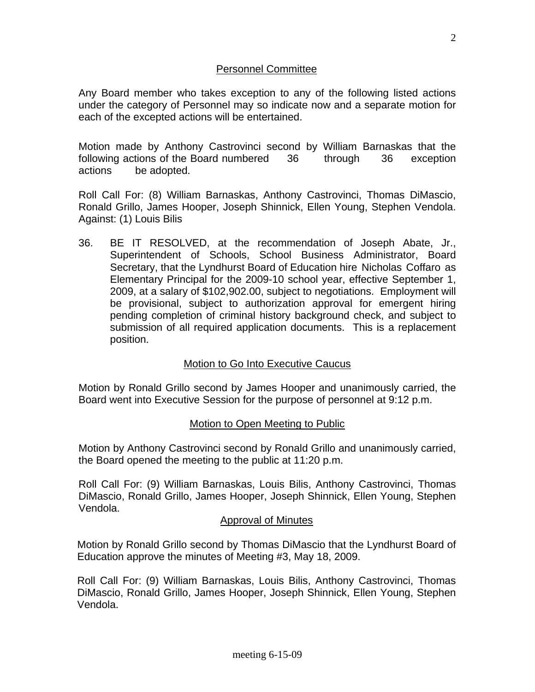## Personnel Committee

Any Board member who takes exception to any of the following listed actions under the category of Personnel may so indicate now and a separate motion for each of the excepted actions will be entertained.

Motion made by Anthony Castrovinci second by William Barnaskas that the following actions of the Board numbered 36 through 36 exception actions be adopted.

Roll Call For: (8) William Barnaskas, Anthony Castrovinci, Thomas DiMascio, Ronald Grillo, James Hooper, Joseph Shinnick, Ellen Young, Stephen Vendola. Against: (1) Louis Bilis

36. BE IT RESOLVED, at the recommendation of Joseph Abate, Jr., Superintendent of Schools, School Business Administrator, Board Secretary, that the Lyndhurst Board of Education hire Nicholas Coffaro as Elementary Principal for the 2009-10 school year, effective September 1, 2009, at a salary of \$102,902.00, subject to negotiations. Employment will be provisional, subject to authorization approval for emergent hiring pending completion of criminal history background check, and subject to submission of all required application documents. This is a replacement position.

## Motion to Go Into Executive Caucus

Motion by Ronald Grillo second by James Hooper and unanimously carried, the Board went into Executive Session for the purpose of personnel at 9:12 p.m.

## Motion to Open Meeting to Public

Motion by Anthony Castrovinci second by Ronald Grillo and unanimously carried, the Board opened the meeting to the public at 11:20 p.m.

Roll Call For: (9) William Barnaskas, Louis Bilis, Anthony Castrovinci, Thomas DiMascio, Ronald Grillo, James Hooper, Joseph Shinnick, Ellen Young, Stephen Vendola.

## Approval of Minutes

Motion by Ronald Grillo second by Thomas DiMascio that the Lyndhurst Board of Education approve the minutes of Meeting #3, May 18, 2009.

Roll Call For: (9) William Barnaskas, Louis Bilis, Anthony Castrovinci, Thomas DiMascio, Ronald Grillo, James Hooper, Joseph Shinnick, Ellen Young, Stephen Vendola.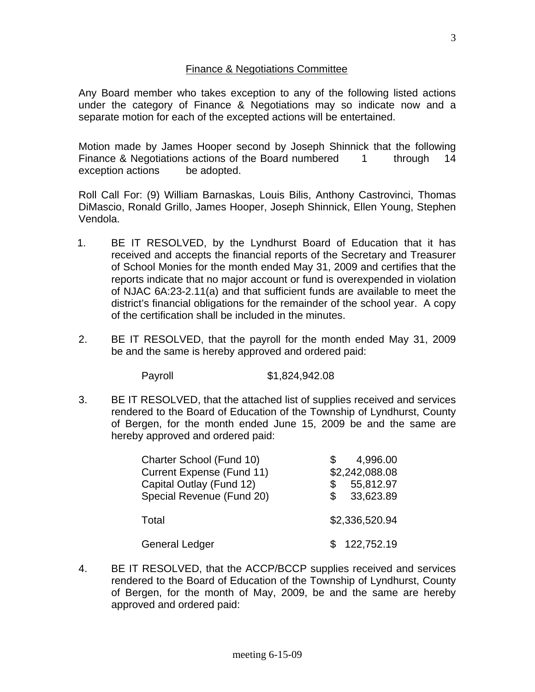### Finance & Negotiations Committee

Any Board member who takes exception to any of the following listed actions under the category of Finance & Negotiations may so indicate now and a separate motion for each of the excepted actions will be entertained.

Motion made by James Hooper second by Joseph Shinnick that the following Finance & Negotiations actions of the Board numbered 1 through 14 exception actions be adopted.

Roll Call For: (9) William Barnaskas, Louis Bilis, Anthony Castrovinci, Thomas DiMascio, Ronald Grillo, James Hooper, Joseph Shinnick, Ellen Young, Stephen Vendola.

- 1. BE IT RESOLVED, by the Lyndhurst Board of Education that it has received and accepts the financial reports of the Secretary and Treasurer of School Monies for the month ended May 31, 2009 and certifies that the reports indicate that no major account or fund is overexpended in violation of NJAC 6A:23-2.11(a) and that sufficient funds are available to meet the district's financial obligations for the remainder of the school year. A copy of the certification shall be included in the minutes.
- 2. BE IT RESOLVED, that the payroll for the month ended May 31, 2009 be and the same is hereby approved and ordered paid:

Payroll \$1,824,942.08

3. BE IT RESOLVED, that the attached list of supplies received and services rendered to the Board of Education of the Township of Lyndhurst, County of Bergen, for the month ended June 15, 2009 be and the same are hereby approved and ordered paid:

| Charter School (Fund 10)<br><b>Current Expense (Fund 11)</b><br>Capital Outlay (Fund 12)<br>Special Revenue (Fund 20) | 4,996.00<br>\$2,242,088.08<br>55,812.97<br>S<br>33,623.89<br>S. |
|-----------------------------------------------------------------------------------------------------------------------|-----------------------------------------------------------------|
| Total                                                                                                                 | \$2,336,520.94                                                  |
| <b>General Ledger</b>                                                                                                 | 122,752.19                                                      |

4. BE IT RESOLVED, that the ACCP/BCCP supplies received and services rendered to the Board of Education of the Township of Lyndhurst, County of Bergen, for the month of May, 2009, be and the same are hereby approved and ordered paid: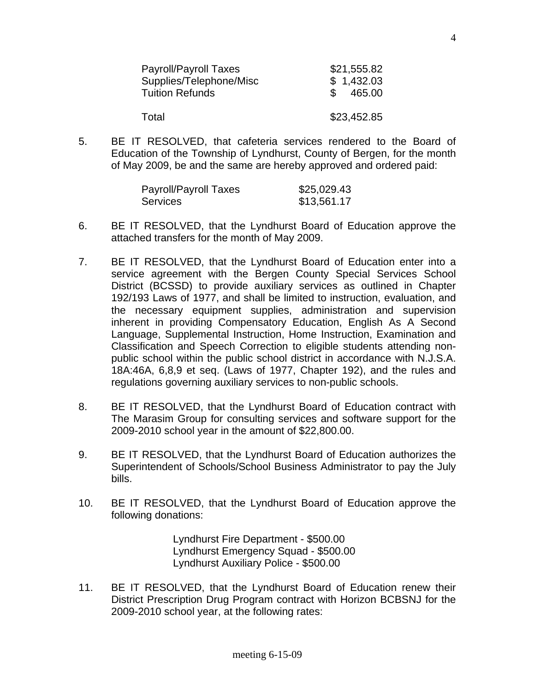| Payroll/Payroll Taxes<br>Supplies/Telephone/Misc<br><b>Tuition Refunds</b> | \$21,555.82<br>\$1,432.03<br>465.00 |
|----------------------------------------------------------------------------|-------------------------------------|
| Total                                                                      | \$23,452.85                         |

5. BE IT RESOLVED, that cafeteria services rendered to the Board of Education of the Township of Lyndhurst, County of Bergen, for the month of May 2009, be and the same are hereby approved and ordered paid:

| Payroll/Payroll Taxes | \$25,029.43 |
|-----------------------|-------------|
| <b>Services</b>       | \$13,561.17 |

- 6. BE IT RESOLVED, that the Lyndhurst Board of Education approve the attached transfers for the month of May 2009.
- 7. BE IT RESOLVED, that the Lyndhurst Board of Education enter into a service agreement with the Bergen County Special Services School District (BCSSD) to provide auxiliary services as outlined in Chapter 192/193 Laws of 1977, and shall be limited to instruction, evaluation, and the necessary equipment supplies, administration and supervision inherent in providing Compensatory Education, English As A Second Language, Supplemental Instruction, Home Instruction, Examination and Classification and Speech Correction to eligible students attending nonpublic school within the public school district in accordance with N.J.S.A. 18A:46A, 6,8,9 et seq. (Laws of 1977, Chapter 192), and the rules and regulations governing auxiliary services to non-public schools.
- 8. BE IT RESOLVED, that the Lyndhurst Board of Education contract with The Marasim Group for consulting services and software support for the 2009-2010 school year in the amount of \$22,800.00.
- 9. BE IT RESOLVED, that the Lyndhurst Board of Education authorizes the Superintendent of Schools/School Business Administrator to pay the July bills.
- 10. BE IT RESOLVED, that the Lyndhurst Board of Education approve the following donations:

 Lyndhurst Fire Department - \$500.00 Lyndhurst Emergency Squad - \$500.00 Lyndhurst Auxiliary Police - \$500.00

11. BE IT RESOLVED, that the Lyndhurst Board of Education renew their District Prescription Drug Program contract with Horizon BCBSNJ for the 2009-2010 school year, at the following rates: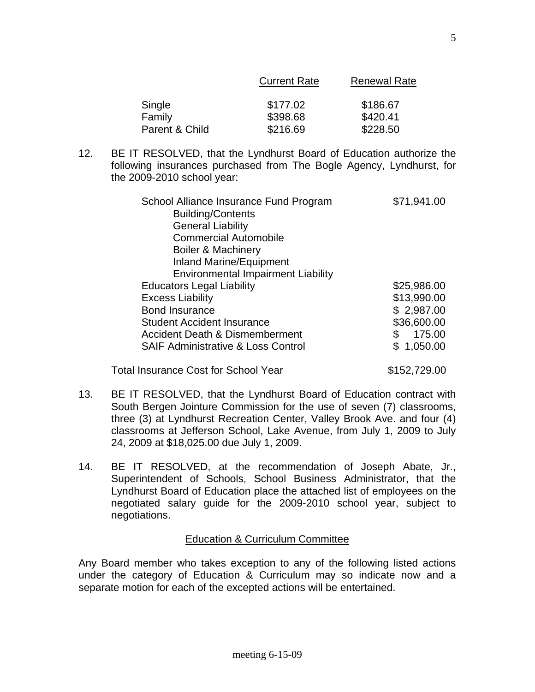| Single         | \$177.02 | \$186.67 |
|----------------|----------|----------|
| Family         | \$398.68 | \$420.41 |
| Parent & Child | \$216.69 | \$228.50 |

12. BE IT RESOLVED, that the Lyndhurst Board of Education authorize the following insurances purchased from The Bogle Agency, Lyndhurst, for the 2009-2010 school year:

| School Alliance Insurance Fund Program<br><b>Building/Contents</b><br><b>General Liability</b><br><b>Commercial Automobile</b><br>Boiler & Machinery<br><b>Inland Marine/Equipment</b><br><b>Environmental Impairment Liability</b> | \$71,941.00  |
|-------------------------------------------------------------------------------------------------------------------------------------------------------------------------------------------------------------------------------------|--------------|
| <b>Educators Legal Liability</b>                                                                                                                                                                                                    | \$25,986.00  |
| <b>Excess Liability</b>                                                                                                                                                                                                             | \$13,990.00  |
| <b>Bond Insurance</b>                                                                                                                                                                                                               | \$2,987.00   |
| <b>Student Accident Insurance</b>                                                                                                                                                                                                   | \$36,600.00  |
| Accident Death & Dismemberment                                                                                                                                                                                                      | \$<br>175.00 |
| <b>SAIF Administrative &amp; Loss Control</b>                                                                                                                                                                                       | \$1,050.00   |

13. BE IT RESOLVED, that the Lyndhurst Board of Education contract with South Bergen Jointure Commission for the use of seven (7) classrooms, three (3) at Lyndhurst Recreation Center, Valley Brook Ave. and four (4) classrooms at Jefferson School, Lake Avenue, from July 1, 2009 to July 24, 2009 at \$18,025.00 due July 1, 2009.

Total Insurance Cost for School Year \$152,729.00

14. BE IT RESOLVED, at the recommendation of Joseph Abate, Jr., Superintendent of Schools, School Business Administrator, that the Lyndhurst Board of Education place the attached list of employees on the negotiated salary guide for the 2009-2010 school year, subject to negotiations.

## Education & Curriculum Committee

Any Board member who takes exception to any of the following listed actions under the category of Education & Curriculum may so indicate now and a separate motion for each of the excepted actions will be entertained.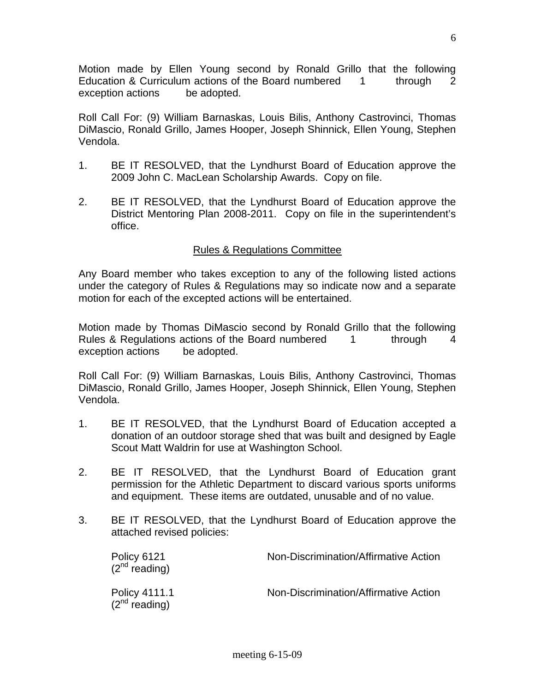Motion made by Ellen Young second by Ronald Grillo that the following Education & Curriculum actions of the Board numbered 1 through 2 exception actions be adopted.

Roll Call For: (9) William Barnaskas, Louis Bilis, Anthony Castrovinci, Thomas DiMascio, Ronald Grillo, James Hooper, Joseph Shinnick, Ellen Young, Stephen Vendola.

- 1. BE IT RESOLVED, that the Lyndhurst Board of Education approve the 2009 John C. MacLean Scholarship Awards. Copy on file.
- 2. BE IT RESOLVED, that the Lyndhurst Board of Education approve the District Mentoring Plan 2008-2011. Copy on file in the superintendent's office.

## Rules & Regulations Committee

Any Board member who takes exception to any of the following listed actions under the category of Rules & Regulations may so indicate now and a separate motion for each of the excepted actions will be entertained.

Motion made by Thomas DiMascio second by Ronald Grillo that the following Rules & Regulations actions of the Board numbered 1 through 4 exception actions be adopted.

Roll Call For: (9) William Barnaskas, Louis Bilis, Anthony Castrovinci, Thomas DiMascio, Ronald Grillo, James Hooper, Joseph Shinnick, Ellen Young, Stephen Vendola.

- 1. BE IT RESOLVED, that the Lyndhurst Board of Education accepted a donation of an outdoor storage shed that was built and designed by Eagle Scout Matt Waldrin for use at Washington School.
- 2. BE IT RESOLVED, that the Lyndhurst Board of Education grant permission for the Athletic Department to discard various sports uniforms and equipment. These items are outdated, unusable and of no value.
- 3. BE IT RESOLVED, that the Lyndhurst Board of Education approve the attached revised policies:

| Policy 6121<br>$(2^{nd}$ reading)   | Non-Discrimination/Affirmative Action |
|-------------------------------------|---------------------------------------|
| Policy 4111.1<br>$(2^{nd}$ reading) | Non-Discrimination/Affirmative Action |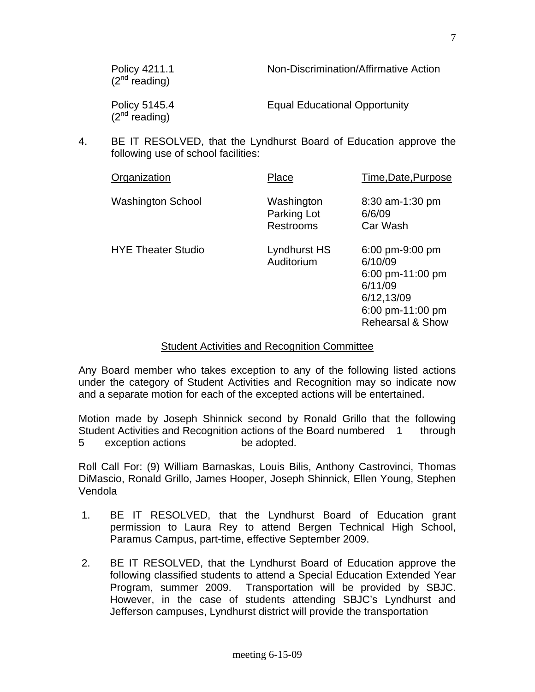| Policy 4211.1<br>$(2^{nd}$ reading) | Non-Discrimination/Affirmative Action |
|-------------------------------------|---------------------------------------|
| Policy 5145.4<br>$(2nd$ reading)    | <b>Equal Educational Opportunity</b>  |

4. BE IT RESOLVED, that the Lyndhurst Board of Education approve the following use of school facilities:

| Organization              | Place                                         | Time, Date, Purpose                                                                                                        |
|---------------------------|-----------------------------------------------|----------------------------------------------------------------------------------------------------------------------------|
| <b>Washington School</b>  | Washington<br>Parking Lot<br><b>Restrooms</b> | 8:30 am-1:30 pm<br>6/6/09<br>Car Wash                                                                                      |
| <b>HYE Theater Studio</b> | Lyndhurst HS<br>Auditorium                    | 6:00 pm-9:00 pm<br>6/10/09<br>6:00 pm-11:00 pm<br>6/11/09<br>6/12,13/09<br>6:00 pm-11:00 pm<br><b>Rehearsal &amp; Show</b> |

### Student Activities and Recognition Committee

Any Board member who takes exception to any of the following listed actions under the category of Student Activities and Recognition may so indicate now and a separate motion for each of the excepted actions will be entertained.

Motion made by Joseph Shinnick second by Ronald Grillo that the following Student Activities and Recognition actions of the Board numbered 1 through 5 exception actions be adopted.

Roll Call For: (9) William Barnaskas, Louis Bilis, Anthony Castrovinci, Thomas DiMascio, Ronald Grillo, James Hooper, Joseph Shinnick, Ellen Young, Stephen Vendola

- 1. BE IT RESOLVED, that the Lyndhurst Board of Education grant permission to Laura Rey to attend Bergen Technical High School, Paramus Campus, part-time, effective September 2009.
- 2. BE IT RESOLVED, that the Lyndhurst Board of Education approve the following classified students to attend a Special Education Extended Year Program, summer 2009. Transportation will be provided by SBJC. However, in the case of students attending SBJC's Lyndhurst and Jefferson campuses, Lyndhurst district will provide the transportation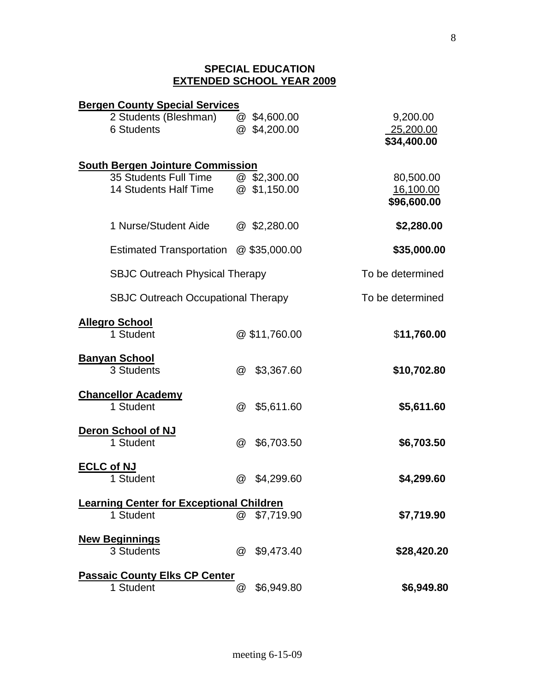#### **SPECIAL EDUCATION EXTENDED SCHOOL YEAR 2009**

| <b>Bergen County Special Services</b>           |                      |                            |                          |
|-------------------------------------------------|----------------------|----------------------------|--------------------------|
| 2 Students (Bleshman)                           |                      | $@$ \$4,600.00             | 9,200.00                 |
| 6 Students                                      |                      | @ \$4,200.00               | 25,200.00                |
|                                                 |                      |                            | \$34,400.00              |
|                                                 |                      |                            |                          |
| <b>South Bergen Jointure Commission</b>         |                      |                            |                          |
| 35 Students Full Time<br>14 Students Half Time  |                      | @ \$2,300.00<br>\$1,150.00 | 80,500.00                |
|                                                 | $\omega$             |                            | 16,100.00<br>\$96,600.00 |
|                                                 |                      |                            |                          |
| 1 Nurse/Student Aide                            |                      | $@$ \$2,280.00             | \$2,280.00               |
|                                                 |                      |                            |                          |
| <b>Estimated Transportation</b>                 |                      | $@$ \$35,000.00            | \$35,000.00              |
| <b>SBJC Outreach Physical Therapy</b>           |                      |                            | To be determined         |
| <b>SBJC Outreach Occupational Therapy</b>       |                      |                            | To be determined         |
|                                                 |                      |                            |                          |
| <b>Allegro School</b>                           |                      |                            |                          |
| 1 Student                                       |                      | @\$11,760.00               | \$11,760.00              |
| <b>Banyan School</b>                            |                      |                            |                          |
| 3 Students                                      | @                    | \$3,367.60                 | \$10,702.80              |
|                                                 |                      |                            |                          |
| <b>Chancellor Academy</b>                       |                      |                            |                          |
| 1 Student                                       | $^{\textregistered}$ | \$5,611.60                 | \$5,611.60               |
|                                                 |                      |                            |                          |
| Deron School of NJ                              |                      |                            |                          |
| 1 Student                                       | $^{\textregistered}$ | \$6,703.50                 | \$6,703.50               |
| <b>ECLC of NJ</b>                               |                      |                            |                          |
| 1 Student                                       | $^{\textregistered}$ | \$4,299.60                 | \$4,299.60               |
|                                                 |                      |                            |                          |
| <b>Learning Center for Exceptional Children</b> |                      |                            |                          |
| 1 Student                                       | @                    | \$7,719.90                 | \$7,719.90               |
|                                                 |                      |                            |                          |
| <b>New Beginnings</b><br>3 Students             | $\omega$             | \$9,473.40                 | \$28,420.20              |
|                                                 |                      |                            |                          |
| <b>Passaic County Elks CP Center</b>            |                      |                            |                          |
| 1 Student                                       | @                    | \$6,949.80                 | \$6,949.80               |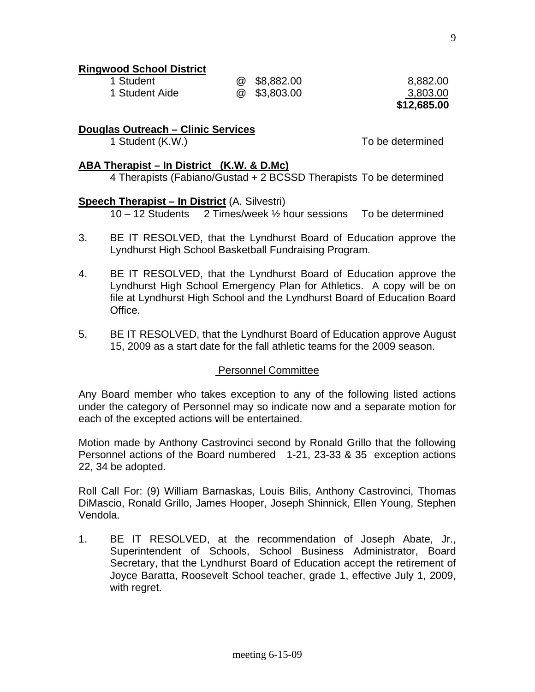8,882.00 3,803.00 **\$12,685.00** 

## **Ringwood School District**

| 1 Student      | @ \$8,882.00   |
|----------------|----------------|
| 1 Student Aide | $@$ \$3,803.00 |

**Douglas Outreach – Clinic Services**

1 Student (K.W.) To be determined

## **ABA Therapist – In District (K.W. & D.Mc)**

4 Therapists (Fabiano/Gustad + 2 BCSSD Therapists To be determined

#### **Speech Therapist – In District** (A. Silvestri)

10 – 12 Students 2 Times/week ½ hour sessions To be determined

- 3. BE IT RESOLVED, that the Lyndhurst Board of Education approve the Lyndhurst High School Basketball Fundraising Program.
- 4. BE IT RESOLVED, that the Lyndhurst Board of Education approve the Lyndhurst High School Emergency Plan for Athletics. A copy will be on file at Lyndhurst High School and the Lyndhurst Board of Education Board Office.
- 5. BE IT RESOLVED, that the Lyndhurst Board of Education approve August 15, 2009 as a start date for the fall athletic teams for the 2009 season.

## Personnel Committee

Any Board member who takes exception to any of the following listed actions under the category of Personnel may so indicate now and a separate motion for each of the excepted actions will be entertained.

Motion made by Anthony Castrovinci second by Ronald Grillo that the following Personnel actions of the Board numbered 1-21, 23-33 & 35 exception actions 22, 34 be adopted.

Roll Call For: (9) William Barnaskas, Louis Bilis, Anthony Castrovinci, Thomas DiMascio, Ronald Grillo, James Hooper, Joseph Shinnick, Ellen Young, Stephen Vendola.

1. BE IT RESOLVED, at the recommendation of Joseph Abate, Jr., Superintendent of Schools, School Business Administrator, Board Secretary, that the Lyndhurst Board of Education accept the retirement of Joyce Baratta, Roosevelt School teacher, grade 1, effective July 1, 2009, with regret.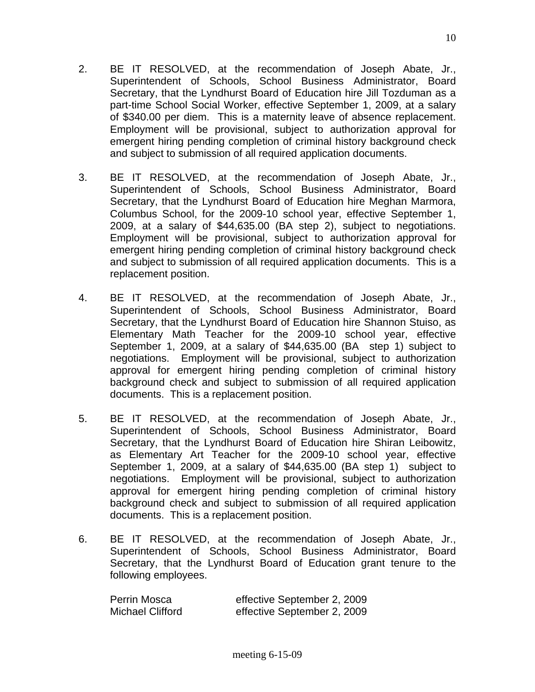- 2. BE IT RESOLVED, at the recommendation of Joseph Abate, Jr., Superintendent of Schools, School Business Administrator, Board Secretary, that the Lyndhurst Board of Education hire Jill Tozduman as a part-time School Social Worker, effective September 1, 2009, at a salary of \$340.00 per diem. This is a maternity leave of absence replacement. Employment will be provisional, subject to authorization approval for emergent hiring pending completion of criminal history background check and subject to submission of all required application documents.
- 3. BE IT RESOLVED, at the recommendation of Joseph Abate, Jr., Superintendent of Schools, School Business Administrator, Board Secretary, that the Lyndhurst Board of Education hire Meghan Marmora, Columbus School, for the 2009-10 school year, effective September 1, 2009, at a salary of \$44,635.00 (BA step 2), subject to negotiations. Employment will be provisional, subject to authorization approval for emergent hiring pending completion of criminal history background check and subject to submission of all required application documents. This is a replacement position.
- 4. BE IT RESOLVED, at the recommendation of Joseph Abate, Jr., Superintendent of Schools, School Business Administrator, Board Secretary, that the Lyndhurst Board of Education hire Shannon Stuiso, as Elementary Math Teacher for the 2009-10 school year, effective September 1, 2009, at a salary of \$44,635.00 (BA step 1) subject to negotiations. Employment will be provisional, subject to authorization approval for emergent hiring pending completion of criminal history background check and subject to submission of all required application documents. This is a replacement position.
- 5. BE IT RESOLVED, at the recommendation of Joseph Abate, Jr., Superintendent of Schools, School Business Administrator, Board Secretary, that the Lyndhurst Board of Education hire Shiran Leibowitz, as Elementary Art Teacher for the 2009-10 school year, effective September 1, 2009, at a salary of \$44,635.00 (BA step 1) subject to negotiations. Employment will be provisional, subject to authorization approval for emergent hiring pending completion of criminal history background check and subject to submission of all required application documents. This is a replacement position.
- 6. BE IT RESOLVED, at the recommendation of Joseph Abate, Jr., Superintendent of Schools, School Business Administrator, Board Secretary, that the Lyndhurst Board of Education grant tenure to the following employees.

| Perrin Mosca            | effective September 2, 2009 |
|-------------------------|-----------------------------|
| <b>Michael Clifford</b> | effective September 2, 2009 |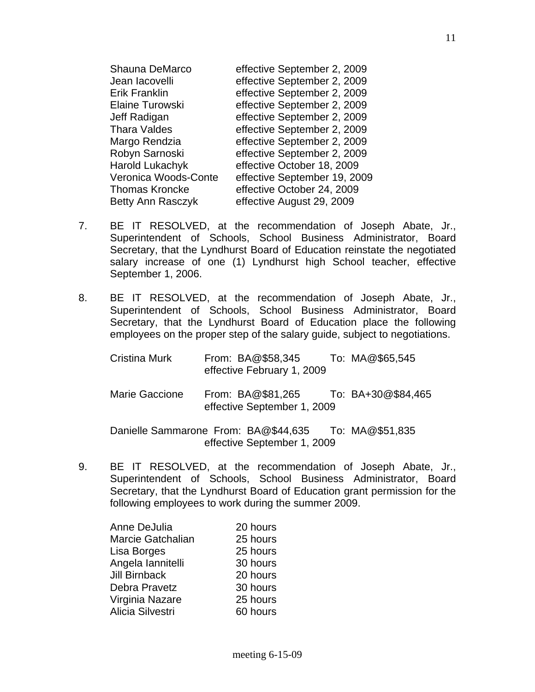| Shauna DeMarco         | effective September 2, 2009  |
|------------------------|------------------------------|
| Jean lacovelli         | effective September 2, 2009  |
| <b>Erik Franklin</b>   | effective September 2, 2009  |
| <b>Elaine Turowski</b> | effective September 2, 2009  |
| Jeff Radigan           | effective September 2, 2009  |
| <b>Thara Valdes</b>    | effective September 2, 2009  |
| Margo Rendzia          | effective September 2, 2009  |
| Robyn Sarnoski         | effective September 2, 2009  |
| <b>Harold Lukachyk</b> | effective October 18, 2009   |
| Veronica Woods-Conte   | effective September 19, 2009 |
| <b>Thomas Kroncke</b>  | effective October 24, 2009   |
| Betty Ann Rasczyk      | effective August 29, 2009    |

- 7. BE IT RESOLVED, at the recommendation of Joseph Abate, Jr., Superintendent of Schools, School Business Administrator, Board Secretary, that the Lyndhurst Board of Education reinstate the negotiated salary increase of one (1) Lyndhurst high School teacher, effective September 1, 2006.
- 8. BE IT RESOLVED, at the recommendation of Joseph Abate, Jr., Superintendent of Schools, School Business Administrator, Board Secretary, that the Lyndhurst Board of Education place the following employees on the proper step of the salary guide, subject to negotiations.

| Cristina Murk         | From: BA@\$58,345<br>effective February 1, 2009  | To: MA@\$65,545    |
|-----------------------|--------------------------------------------------|--------------------|
| <b>Marie Gaccione</b> | From: BA@\$81,265<br>effective September 1, 2009 | To: BA+30@\$84,465 |
|                       | Danielle Sammarone From: BA@\$44,635             | To: MA@\$51,835    |

effective September 1, 2009

9. BE IT RESOLVED, at the recommendation of Joseph Abate, Jr., Superintendent of Schools, School Business Administrator, Board Secretary, that the Lyndhurst Board of Education grant permission for the following employees to work during the summer 2009.

| Anne DeJulia         | 20 hours |
|----------------------|----------|
| Marcie Gatchalian    | 25 hours |
| Lisa Borges          | 25 hours |
| Angela lannitelli    | 30 hours |
| <b>Jill Birnback</b> | 20 hours |
| Debra Pravetz        | 30 hours |
| Virginia Nazare      | 25 hours |
| Alicia Silvestri     | 60 hours |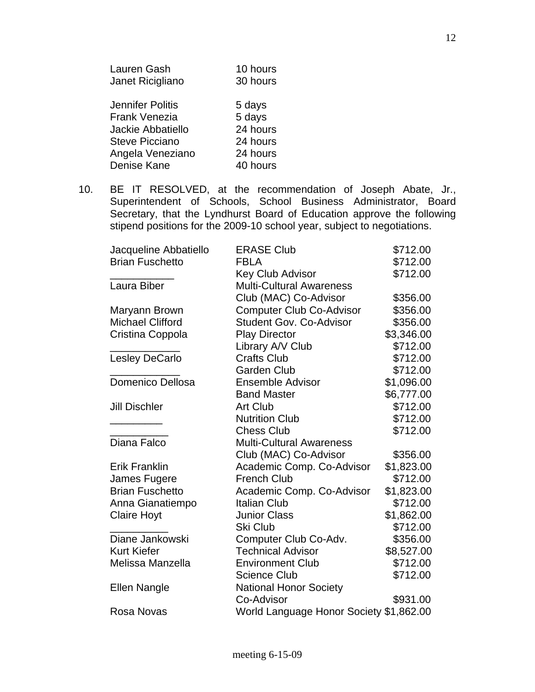| Lauren Gash             | 10 hours |
|-------------------------|----------|
| Janet Ricigliano        | 30 hours |
|                         |          |
| <b>Jennifer Politis</b> | 5 days   |
| <b>Frank Venezia</b>    | 5 days   |
| Jackie Abbatiello       | 24 hours |
| <b>Steve Picciano</b>   | 24 hours |
| Angela Veneziano        | 24 hours |
| Denise Kane             | 40 hours |
|                         |          |

10. BE IT RESOLVED, at the recommendation of Joseph Abate, Jr., Superintendent of Schools, School Business Administrator, Board Secretary, that the Lyndhurst Board of Education approve the following stipend positions for the 2009-10 school year, subject to negotiations.

| Jacqueline Abbatiello   | <b>ERASE Club</b>                       | \$712.00   |
|-------------------------|-----------------------------------------|------------|
| <b>Brian Fuschetto</b>  | <b>FBLA</b>                             | \$712.00   |
|                         | <b>Key Club Advisor</b>                 | \$712.00   |
| Laura Biber             | <b>Multi-Cultural Awareness</b>         |            |
|                         | Club (MAC) Co-Advisor                   | \$356.00   |
| Maryann Brown           | <b>Computer Club Co-Advisor</b>         | \$356.00   |
| <b>Michael Clifford</b> | <b>Student Gov. Co-Advisor</b>          | \$356.00   |
| Cristina Coppola        | <b>Play Director</b>                    | \$3,346.00 |
|                         | Library A/V Club                        | \$712.00   |
| Lesley DeCarlo          | <b>Crafts Club</b>                      | \$712.00   |
|                         | <b>Garden Club</b>                      | \$712.00   |
| Domenico Dellosa        | <b>Ensemble Advisor</b>                 | \$1,096.00 |
|                         | <b>Band Master</b>                      | \$6,777.00 |
| <b>Jill Dischler</b>    | Art Club                                | \$712.00   |
|                         | <b>Nutrition Club</b>                   | \$712.00   |
|                         | <b>Chess Club</b>                       | \$712.00   |
| Diana Falco             | <b>Multi-Cultural Awareness</b>         |            |
|                         | Club (MAC) Co-Advisor                   | \$356.00   |
| <b>Erik Franklin</b>    | Academic Comp. Co-Advisor               | \$1,823.00 |
| James Fugere            | <b>French Club</b>                      | \$712.00   |
| <b>Brian Fuschetto</b>  | Academic Comp. Co-Advisor               | \$1,823.00 |
| Anna Gianatiempo        | <b>Italian Club</b>                     | \$712.00   |
| <b>Claire Hoyt</b>      | <b>Junior Class</b>                     | \$1,862.00 |
|                         | Ski Club                                | \$712.00   |
| Diane Jankowski         | Computer Club Co-Adv.                   | \$356.00   |
| <b>Kurt Kiefer</b>      | <b>Technical Advisor</b>                | \$8,527.00 |
| Melissa Manzella        | <b>Environment Club</b>                 | \$712.00   |
|                         | <b>Science Club</b>                     | \$712.00   |
| Ellen Nangle            | <b>National Honor Society</b>           |            |
|                         | Co-Advisor                              | \$931.00   |
| Rosa Novas              | World Language Honor Society \$1,862.00 |            |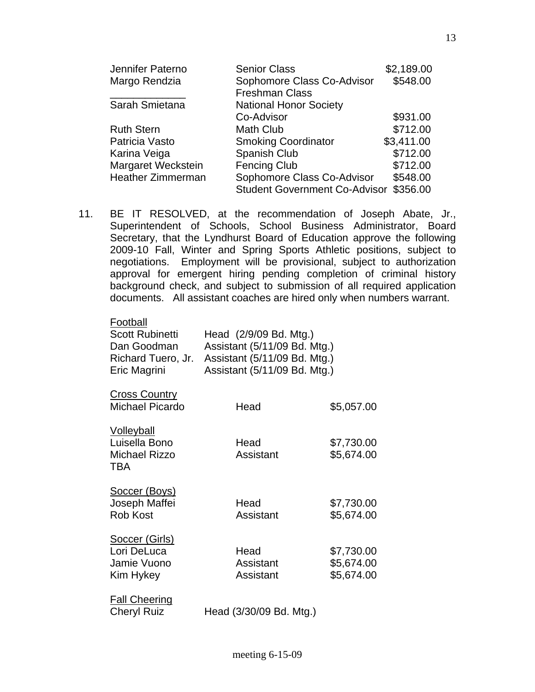| Jennifer Paterno         | <b>Senior Class</b>                  | \$2,189.00 |
|--------------------------|--------------------------------------|------------|
| Margo Rendzia            | Sophomore Class Co-Advisor           | \$548.00   |
|                          | <b>Freshman Class</b>                |            |
| Sarah Smietana           | <b>National Honor Society</b>        |            |
|                          | Co-Advisor                           | \$931.00   |
| <b>Ruth Stern</b>        | <b>Math Club</b>                     | \$712.00   |
| Patricia Vasto           | <b>Smoking Coordinator</b>           | \$3,411.00 |
| Karina Veiga             | Spanish Club                         | \$712.00   |
| Margaret Weckstein       | <b>Fencing Club</b>                  | \$712.00   |
| <b>Heather Zimmerman</b> | Sophomore Class Co-Advisor           | \$548.00   |
|                          | <b>Student Government Co-Advisor</b> | \$356.00   |

11. BE IT RESOLVED, at the recommendation of Joseph Abate, Jr., Superintendent of Schools, School Business Administrator, Board Secretary, that the Lyndhurst Board of Education approve the following 2009-10 Fall, Winter and Spring Sports Athletic positions, subject to negotiations. Employment will be provisional, subject to authorization approval for emergent hiring pending completion of criminal history background check, and subject to submission of all required application documents. All assistant coaches are hired only when numbers warrant.

| Football<br>Scott Rubinetti<br>Dan Goodman<br>Richard Tuero, Jr.<br>Eric Magrini | Head (2/9/09 Bd. Mtg.)<br>Assistant (5/11/09 Bd. Mtg.)<br>Assistant (5/11/09 Bd. Mtg.)<br>Assistant (5/11/09 Bd. Mtg.) |                                        |
|----------------------------------------------------------------------------------|------------------------------------------------------------------------------------------------------------------------|----------------------------------------|
| <b>Cross Country</b><br><b>Michael Picardo</b>                                   | Head                                                                                                                   | \$5,057.00                             |
| <b>Volleyball</b><br>Luisella Bono<br>Michael Rizzo<br><b>TBA</b>                | Head<br>Assistant                                                                                                      | \$7,730.00<br>\$5,674.00               |
| Soccer (Boys)<br>Joseph Maffei<br><b>Rob Kost</b>                                | Head<br>Assistant                                                                                                      | \$7,730.00<br>\$5,674.00               |
| Soccer (Girls)<br>Lori DeLuca<br>Jamie Vuono<br>Kim Hykey                        | Head<br>Assistant<br>Assistant                                                                                         | \$7,730.00<br>\$5,674.00<br>\$5,674.00 |
| <b>Fall Cheering</b><br><b>Cheryl Ruiz</b>                                       | Head (3/30/09 Bd. Mtg.)                                                                                                |                                        |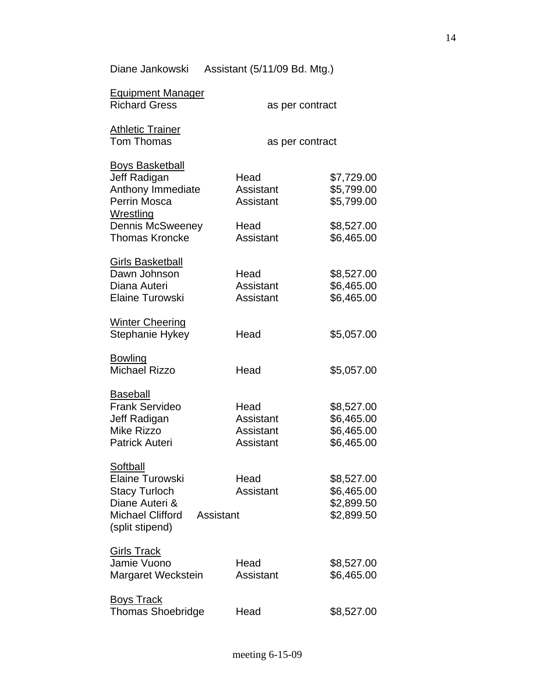Diane Jankowski Assistant (5/11/09 Bd. Mtg.)

| <b>Equipment Manager</b><br><b>Richard Gress</b>                                                                                 | as per contract                             |                                                      |
|----------------------------------------------------------------------------------------------------------------------------------|---------------------------------------------|------------------------------------------------------|
| <b>Athletic Trainer</b><br><b>Tom Thomas</b>                                                                                     | as per contract                             |                                                      |
| <b>Boys Basketball</b><br>Jeff Radigan<br>Anthony Immediate<br>Perrin Mosca<br>Wrestling<br><b>Dennis McSweeney</b>              | Head<br>Assistant<br>Assistant<br>Head      | \$7,729.00<br>\$5,799.00<br>\$5,799.00<br>\$8,527.00 |
| <b>Thomas Kroncke</b><br><b>Girls Basketball</b><br>Dawn Johnson<br>Diana Auteri<br><b>Elaine Turowski</b>                       | Assistant<br>Head<br>Assistant<br>Assistant | \$6,465.00<br>\$8,527.00<br>\$6,465.00<br>\$6,465.00 |
| <b>Winter Cheering</b><br>Stephanie Hykey                                                                                        | Head                                        | \$5,057.00                                           |
| <b>Bowling</b><br><b>Michael Rizzo</b>                                                                                           | Head                                        | \$5,057.00                                           |
| <b>Baseball</b><br><b>Frank Servideo</b><br>Jeff Radigan<br><b>Mike Rizzo</b><br><b>Patrick Auteri</b>                           | Head<br>Assistant<br>Assistant<br>Assistant | \$8,527.00<br>\$6,465.00<br>\$6,465.00<br>\$6,465.00 |
| Softball<br>Elaine Turowski<br><b>Stacy Turloch</b><br>Diane Auteri &<br><b>Michael Clifford</b><br>Assistant<br>(split stipend) | Head<br>Assistant                           | \$8,527.00<br>\$6,465.00<br>\$2,899.50<br>\$2,899.50 |
| <b>Girls Track</b><br>Jamie Vuono<br>Margaret Weckstein                                                                          | Head<br>Assistant                           | \$8,527.00<br>\$6,465.00                             |
| <b>Boys Track</b><br><b>Thomas Shoebridge</b>                                                                                    | Head                                        | \$8,527.00                                           |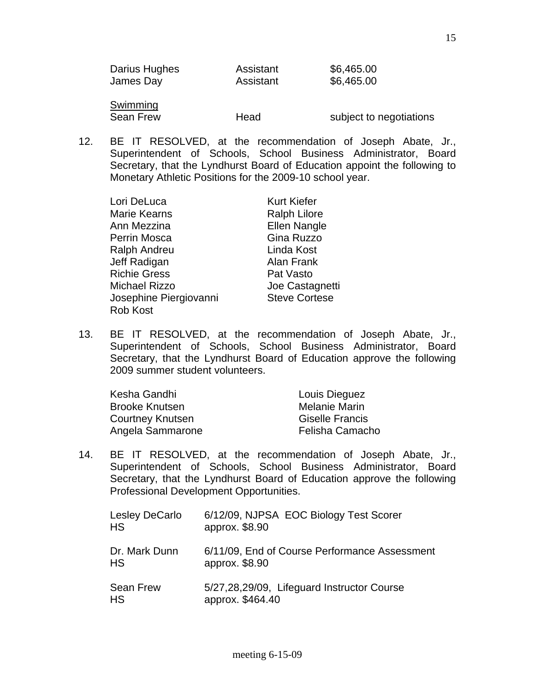Sean Frew **Head** Sean Frew Head Subject to negotiations

12. BE IT RESOLVED, at the recommendation of Joseph Abate, Jr., Superintendent of Schools, School Business Administrator, Board Secretary, that the Lyndhurst Board of Education appoint the following to Monetary Athletic Positions for the 2009-10 school year.

| Lori DeLuca            | <b>Kurt Kiefer</b>   |
|------------------------|----------------------|
| <b>Marie Kearns</b>    | <b>Ralph Lilore</b>  |
| Ann Mezzina            | <b>Ellen Nangle</b>  |
| <b>Perrin Mosca</b>    | Gina Ruzzo           |
| <b>Ralph Andreu</b>    | Linda Kost           |
| Jeff Radigan           | Alan Frank           |
| <b>Richie Gress</b>    | Pat Vasto            |
| <b>Michael Rizzo</b>   | Joe Castagnetti      |
| Josephine Piergiovanni | <b>Steve Cortese</b> |
| <b>Rob Kost</b>        |                      |

13. BE IT RESOLVED, at the recommendation of Joseph Abate, Jr., Superintendent of Schools, School Business Administrator, Board Secretary, that the Lyndhurst Board of Education approve the following 2009 summer student volunteers.

| Kesha Gandhi          | Louis Dieguez          |
|-----------------------|------------------------|
| <b>Brooke Knutsen</b> | Melanie Marin          |
| Courtney Knutsen      | <b>Giselle Francis</b> |
| Angela Sammarone      | Felisha Camacho        |

14. BE IT RESOLVED, at the recommendation of Joseph Abate, Jr., Superintendent of Schools, School Business Administrator, Board Secretary, that the Lyndhurst Board of Education approve the following Professional Development Opportunities.

| Lesley DeCarlo<br><b>HS</b>   | 6/12/09, NJPSA EOC Biology Test Scorer<br>approx. \$8.90        |
|-------------------------------|-----------------------------------------------------------------|
| Dr. Mark Dunn<br><b>HS</b>    | 6/11/09, End of Course Performance Assessment<br>approx. \$8.90 |
| <b>Sean Frew</b><br><b>HS</b> | 5/27,28,29/09, Lifeguard Instructor Course<br>approx. \$464.40  |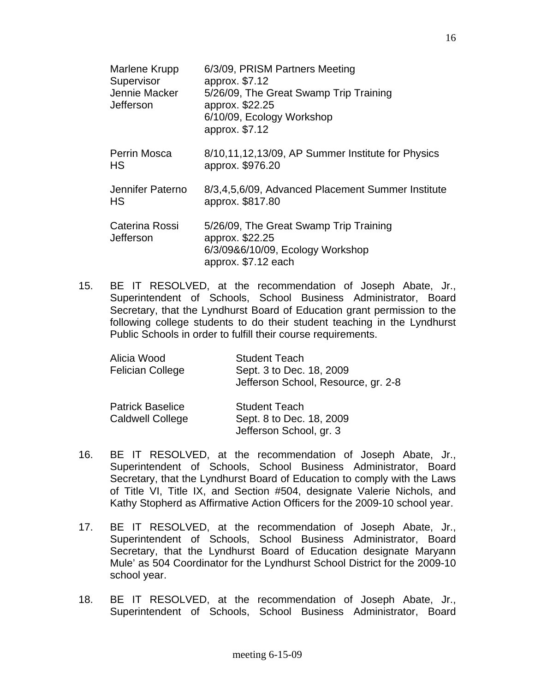| Marlene Krupp<br>Supervisor<br>Jennie Macker<br>Jefferson | 6/3/09, PRISM Partners Meeting<br>approx. \$7.12<br>5/26/09, The Great Swamp Trip Training<br>approx. \$22.25<br>6/10/09, Ecology Workshop<br>approx. \$7.12 |
|-----------------------------------------------------------|--------------------------------------------------------------------------------------------------------------------------------------------------------------|
| Perrin Mosca<br><b>HS</b>                                 | 8/10,11,12,13/09, AP Summer Institute for Physics<br>approx. \$976.20                                                                                        |
| Jennifer Paterno<br><b>HS</b>                             | 8/3,4,5,6/09, Advanced Placement Summer Institute<br>approx. \$817.80                                                                                        |
| Caterina Rossi<br>Jefferson                               | 5/26/09, The Great Swamp Trip Training<br>approx. \$22.25<br>6/3/09&6/10/09, Ecology Workshop<br>approx. \$7.12 each                                         |

15. BE IT RESOLVED, at the recommendation of Joseph Abate, Jr., Superintendent of Schools, School Business Administrator, Board Secretary, that the Lyndhurst Board of Education grant permission to the following college students to do their student teaching in the Lyndhurst Public Schools in order to fulfill their course requirements.

| Alicia Wood<br><b>Felician College</b>             | <b>Student Teach</b><br>Sept. 3 to Dec. 18, 2009<br>Jefferson School, Resource, gr. 2-8 |
|----------------------------------------------------|-----------------------------------------------------------------------------------------|
| <b>Patrick Baselice</b><br><b>Caldwell College</b> | <b>Student Teach</b><br>Sept. 8 to Dec. 18, 2009<br>Jefferson School, gr. 3             |

- 16. BE IT RESOLVED, at the recommendation of Joseph Abate, Jr., Superintendent of Schools, School Business Administrator, Board Secretary, that the Lyndhurst Board of Education to comply with the Laws of Title VI, Title IX, and Section #504, designate Valerie Nichols, and Kathy Stopherd as Affirmative Action Officers for the 2009-10 school year.
- 17. BE IT RESOLVED, at the recommendation of Joseph Abate, Jr., Superintendent of Schools, School Business Administrator, Board Secretary, that the Lyndhurst Board of Education designate Maryann Mule' as 504 Coordinator for the Lyndhurst School District for the 2009-10 school year.
- 18. BE IT RESOLVED, at the recommendation of Joseph Abate, Jr., Superintendent of Schools, School Business Administrator, Board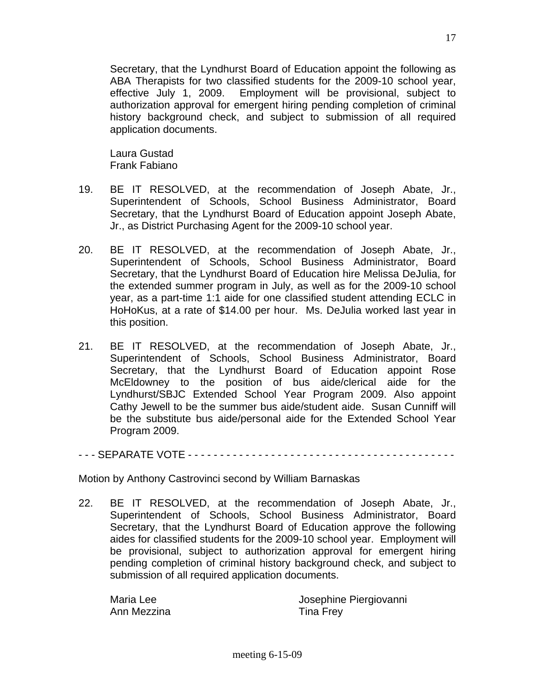Secretary, that the Lyndhurst Board of Education appoint the following as ABA Therapists for two classified students for the 2009-10 school year, effective July 1, 2009. Employment will be provisional, subject to authorization approval for emergent hiring pending completion of criminal history background check, and subject to submission of all required application documents.

 Laura Gustad Frank Fabiano

- 19. BE IT RESOLVED, at the recommendation of Joseph Abate, Jr., Superintendent of Schools, School Business Administrator, Board Secretary, that the Lyndhurst Board of Education appoint Joseph Abate, Jr., as District Purchasing Agent for the 2009-10 school year.
- 20. BE IT RESOLVED, at the recommendation of Joseph Abate, Jr., Superintendent of Schools, School Business Administrator, Board Secretary, that the Lyndhurst Board of Education hire Melissa DeJulia, for the extended summer program in July, as well as for the 2009-10 school year, as a part-time 1:1 aide for one classified student attending ECLC in HoHoKus, at a rate of \$14.00 per hour. Ms. DeJulia worked last year in this position.
- 21. BE IT RESOLVED, at the recommendation of Joseph Abate, Jr., Superintendent of Schools, School Business Administrator, Board Secretary, that the Lyndhurst Board of Education appoint Rose McEldowney to the position of bus aide/clerical aide for the Lyndhurst/SBJC Extended School Year Program 2009. Also appoint Cathy Jewell to be the summer bus aide/student aide. Susan Cunniff will be the substitute bus aide/personal aide for the Extended School Year Program 2009.

- - - SEPARATE VOTE - - - - - - - - - - - - - - - - - - - - - - - - - - - - - - - - - - - - - - - - - -

Motion by Anthony Castrovinci second by William Barnaskas

22. BE IT RESOLVED, at the recommendation of Joseph Abate, Jr., Superintendent of Schools, School Business Administrator, Board Secretary, that the Lyndhurst Board of Education approve the following aides for classified students for the 2009-10 school year. Employment will be provisional, subject to authorization approval for emergent hiring pending completion of criminal history background check, and subject to submission of all required application documents.

Ann Mezzina **Tina Frey** 

Maria Lee Josephine Piergiovanni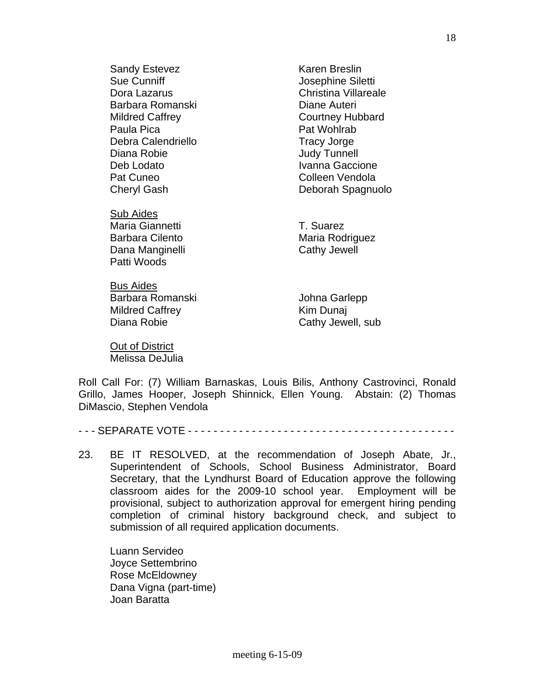Sandy Estevez **Karen Breslin** Sue Cunniff **Sue Cunniff Josephine Siletti** Dora Lazarus **Christina Villareale** Barbara Romanski **Diane Auteri** Mildred Caffrey Courtney Hubbard Paula Pica **Paula Pica Pat Wohlrab** Debra Calendriello **Tracy Jorge** Diana Robie **Communist Communist Communist Communist Communist Communist Communist Communist Communist Communist Communist Communist Communist Communist Communist Communist Communist Communist Communist Communist Communist** Deb Lodato **Ivanna Gaccione** Pat Cuneo **Colleen Vendola** 

 Sub Aides Maria Giannetti **T. Suarez** Dana Manginelli **Cathy Jewell** Patti Woods

 Bus Aides Barbara Romanski Martin Santepp Johna Garlepp Mildred Caffrey **Kim Dunai** Diana Robie **Cathy Jewell**, sub

 Out of District Melissa DeJulia

Cheryl Gash Deborah Spagnuolo

Barbara Cilento **Maria Rodriguez** 

Roll Call For: (7) William Barnaskas, Louis Bilis, Anthony Castrovinci, Ronald Grillo, James Hooper, Joseph Shinnick, Ellen Young. Abstain: (2) Thomas DiMascio, Stephen Vendola

- - - SEPARATE VOTE - - - - - - - - - - - - - - - - - - - - - - - - - - - - - - - - - - - - - - - - - -

23. BE IT RESOLVED, at the recommendation of Joseph Abate, Jr., Superintendent of Schools, School Business Administrator, Board Secretary, that the Lyndhurst Board of Education approve the following classroom aides for the 2009-10 school year. Employment will be provisional, subject to authorization approval for emergent hiring pending completion of criminal history background check, and subject to submission of all required application documents.

 Luann Servideo Joyce Settembrino Rose McEldowney Dana Vigna (part-time) Joan Baratta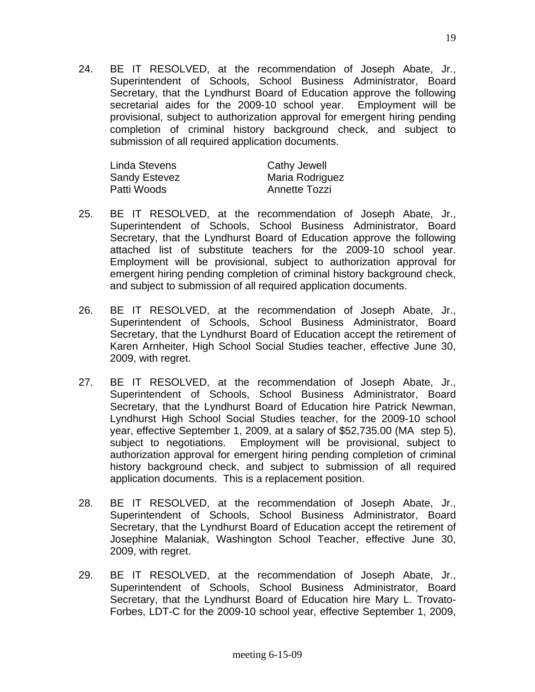24. BE IT RESOLVED, at the recommendation of Joseph Abate, Jr., Superintendent of Schools, School Business Administrator, Board Secretary, that the Lyndhurst Board of Education approve the following secretarial aides for the 2009-10 school year. Employment will be provisional, subject to authorization approval for emergent hiring pending completion of criminal history background check, and subject to submission of all required application documents.

| Linda Stevens        | <b>Cathy Jewell</b>  |
|----------------------|----------------------|
| <b>Sandy Estevez</b> | Maria Rodriguez      |
| Patti Woods          | <b>Annette Tozzi</b> |

- 25. BE IT RESOLVED, at the recommendation of Joseph Abate, Jr., Superintendent of Schools, School Business Administrator, Board Secretary, that the Lyndhurst Board of Education approve the following attached list of substitute teachers for the 2009-10 school year. Employment will be provisional, subject to authorization approval for emergent hiring pending completion of criminal history background check, and subject to submission of all required application documents.
- 26. BE IT RESOLVED, at the recommendation of Joseph Abate, Jr., Superintendent of Schools, School Business Administrator, Board Secretary, that the Lyndhurst Board of Education accept the retirement of Karen Arnheiter, High School Social Studies teacher, effective June 30, 2009, with regret.
- 27. BE IT RESOLVED, at the recommendation of Joseph Abate, Jr., Superintendent of Schools, School Business Administrator, Board Secretary, that the Lyndhurst Board of Education hire Patrick Newman, Lyndhurst High School Social Studies teacher, for the 2009-10 school year, effective September 1, 2009, at a salary of \$52,735.00 (MA step 5), subject to negotiations. Employment will be provisional, subject to authorization approval for emergent hiring pending completion of criminal history background check, and subject to submission of all required application documents. This is a replacement position.
- 28. BE IT RESOLVED, at the recommendation of Joseph Abate, Jr., Superintendent of Schools, School Business Administrator, Board Secretary, that the Lyndhurst Board of Education accept the retirement of Josephine Malaniak, Washington School Teacher, effective June 30, 2009, with regret.
- 29. BE IT RESOLVED, at the recommendation of Joseph Abate, Jr., Superintendent of Schools, School Business Administrator, Board Secretary, that the Lyndhurst Board of Education hire Mary L. Trovato-Forbes, LDT-C for the 2009-10 school year, effective September 1, 2009,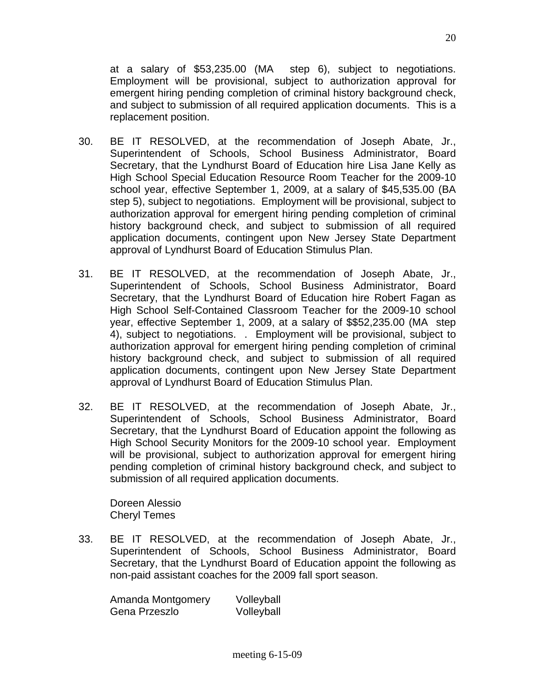at a salary of \$53,235.00 (MA step 6), subject to negotiations. Employment will be provisional, subject to authorization approval for emergent hiring pending completion of criminal history background check, and subject to submission of all required application documents. This is a replacement position.

- 30. BE IT RESOLVED, at the recommendation of Joseph Abate, Jr., Superintendent of Schools, School Business Administrator, Board Secretary, that the Lyndhurst Board of Education hire Lisa Jane Kelly as High School Special Education Resource Room Teacher for the 2009-10 school year, effective September 1, 2009, at a salary of \$45,535.00 (BA step 5), subject to negotiations. Employment will be provisional, subject to authorization approval for emergent hiring pending completion of criminal history background check, and subject to submission of all required application documents, contingent upon New Jersey State Department approval of Lyndhurst Board of Education Stimulus Plan.
- 31. BE IT RESOLVED, at the recommendation of Joseph Abate, Jr., Superintendent of Schools, School Business Administrator, Board Secretary, that the Lyndhurst Board of Education hire Robert Fagan as High School Self-Contained Classroom Teacher for the 2009-10 school year, effective September 1, 2009, at a salary of \$\$52,235.00 (MA step 4), subject to negotiations. . Employment will be provisional, subject to authorization approval for emergent hiring pending completion of criminal history background check, and subject to submission of all required application documents, contingent upon New Jersey State Department approval of Lyndhurst Board of Education Stimulus Plan.
- 32. BE IT RESOLVED, at the recommendation of Joseph Abate, Jr., Superintendent of Schools, School Business Administrator, Board Secretary, that the Lyndhurst Board of Education appoint the following as High School Security Monitors for the 2009-10 school year. Employment will be provisional, subject to authorization approval for emergent hiring pending completion of criminal history background check, and subject to submission of all required application documents.

 Doreen Alessio Cheryl Temes

33. BE IT RESOLVED, at the recommendation of Joseph Abate, Jr., Superintendent of Schools, School Business Administrator, Board Secretary, that the Lyndhurst Board of Education appoint the following as non-paid assistant coaches for the 2009 fall sport season.

| Amanda Montgomery | Volleyball |
|-------------------|------------|
| Gena Przeszlo     | Volleyball |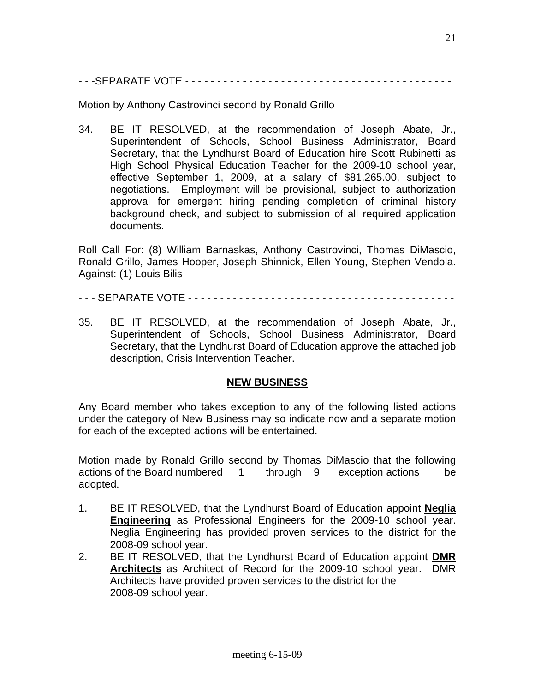- - -SEPARATE VOTE - - - - - - - - - - - - - - - - - - - - - - - - - - - - - - - - - - - - - - - - - -

Motion by Anthony Castrovinci second by Ronald Grillo

34. BE IT RESOLVED, at the recommendation of Joseph Abate, Jr., Superintendent of Schools, School Business Administrator, Board Secretary, that the Lyndhurst Board of Education hire Scott Rubinetti as High School Physical Education Teacher for the 2009-10 school year, effective September 1, 2009, at a salary of \$81,265.00, subject to negotiations. Employment will be provisional, subject to authorization approval for emergent hiring pending completion of criminal history background check, and subject to submission of all required application documents.

Roll Call For: (8) William Barnaskas, Anthony Castrovinci, Thomas DiMascio, Ronald Grillo, James Hooper, Joseph Shinnick, Ellen Young, Stephen Vendola. Against: (1) Louis Bilis

- - SEPARATE VOTE - - - - - - - - - - - - - - - - - - - - -
- 35. BE IT RESOLVED, at the recommendation of Joseph Abate, Jr., Superintendent of Schools, School Business Administrator, Board Secretary, that the Lyndhurst Board of Education approve the attached job description, Crisis Intervention Teacher.

#### **NEW BUSINESS**

Any Board member who takes exception to any of the following listed actions under the category of New Business may so indicate now and a separate motion for each of the excepted actions will be entertained.

Motion made by Ronald Grillo second by Thomas DiMascio that the following actions of the Board numbered 1 through 9 exception actions be adopted.

- 1. BE IT RESOLVED, that the Lyndhurst Board of Education appoint **Neglia Engineering** as Professional Engineers for the 2009-10 school year. Neglia Engineering has provided proven services to the district for the 2008-09 school year.
- 2. BE IT RESOLVED, that the Lyndhurst Board of Education appoint **DMR Architects** as Architect of Record for the 2009-10 school year. DMR Architects have provided proven services to the district for the 2008-09 school year.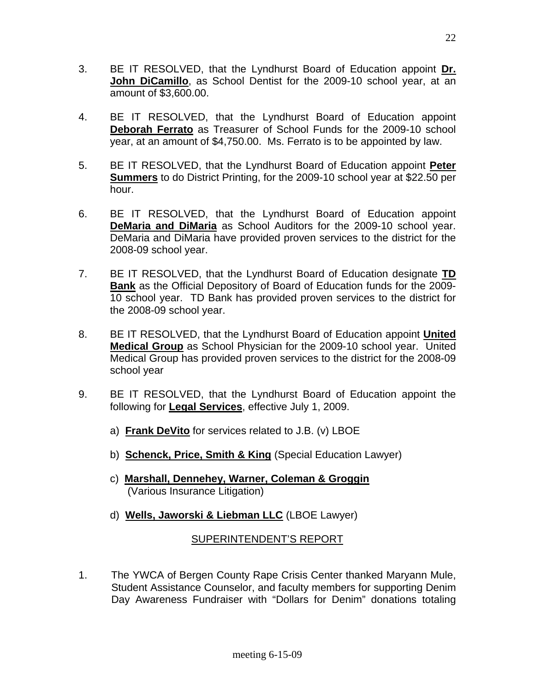- 3. BE IT RESOLVED, that the Lyndhurst Board of Education appoint **Dr. John DiCamillo**, as School Dentist for the 2009-10 school year, at an amount of \$3,600.00.
- 4. BE IT RESOLVED, that the Lyndhurst Board of Education appoint **Deborah Ferrato** as Treasurer of School Funds for the 2009-10 school year, at an amount of \$4,750.00. Ms. Ferrato is to be appointed by law.
- 5. BE IT RESOLVED, that the Lyndhurst Board of Education appoint **Peter Summers** to do District Printing, for the 2009-10 school year at \$22.50 per hour.
- 6. BE IT RESOLVED, that the Lyndhurst Board of Education appoint **DeMaria and DiMaria** as School Auditors for the 2009-10 school year. DeMaria and DiMaria have provided proven services to the district for the 2008-09 school year.
- 7. BE IT RESOLVED, that the Lyndhurst Board of Education designate **TD Bank** as the Official Depository of Board of Education funds for the 2009- 10 school year. TD Bank has provided proven services to the district for the 2008-09 school year.
- 8. BE IT RESOLVED, that the Lyndhurst Board of Education appoint **United Medical Group** as School Physician for the 2009-10 school year. United Medical Group has provided proven services to the district for the 2008-09 school year
- 9. BE IT RESOLVED, that the Lyndhurst Board of Education appoint the following for **Legal Services**, effective July 1, 2009.
	- a) **Frank DeVito** for services related to J.B. (v) LBOE
	- b) **Schenck, Price, Smith & King** (Special Education Lawyer)
	- c) **Marshall, Dennehey, Warner, Coleman & Groggin** (Various Insurance Litigation)
	- d) **Wells, Jaworski & Liebman LLC** (LBOE Lawyer)

# SUPERINTENDENT'S REPORT

1. The YWCA of Bergen County Rape Crisis Center thanked Maryann Mule, Student Assistance Counselor, and faculty members for supporting Denim Day Awareness Fundraiser with "Dollars for Denim" donations totaling